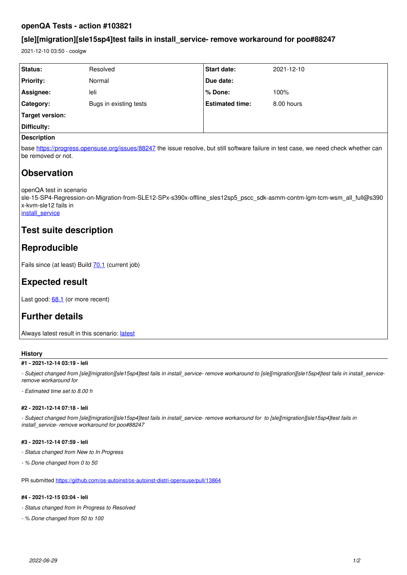### **openQA Tests - action #103821**

## **[sle][migration][sle15sp4]test fails in install\_service- remove workaround for poo#88247**

2021-12-10 03:50 - coolgw

| <b>Status:</b>       | Resolved               | <b>Start date:</b>     | 2021-12-10 |
|----------------------|------------------------|------------------------|------------|
| <b>Priority:</b>     | Normal                 | Due date:              |            |
| Assignee:            | leli                   | l % Done:              | 100%       |
| Category:            | Bugs in existing tests | <b>Estimated time:</b> | 8.00 hours |
| Target version:      |                        |                        |            |
| Difficulty:          |                        |                        |            |
| <b>December 1988</b> |                        |                        |            |

#### **Description**

base<https://progress.opensuse.org/issues/88247>the issue resolve, but still software failure in test case, we need check whether can be removed or not.

# **Observation**

openQA test in scenario

sle-15-SP4-Regression-on-Migration-from-SLE12-SPx-s390x-offline\_sles12sp5\_pscc\_sdk-asmm-contm-lgm-tcm-wsm\_all\_full@s390 x-kvm-sle12 fails in [install\\_service](https://openqa.suse.de/tests/7806934/modules/install_service/steps/128)

## **Test suite description**

# **Reproducible**

Fails since (at least) Build **70.1** (current job)

## **Expected result**

Last good: [68.1](https://openqa.suse.de/tests/7798901) (or more recent)

# **Further details**

Always [latest](https://openqa.suse.de/tests/latest?arch=s390x&distri=sle&flavor=Regression-on-Migration-from-SLE12-SPx&machine=s390x-kvm-sle12&test=offline_sles12sp5_pscc_sdk-asmm-contm-lgm-tcm-wsm_all_full&version=15-SP4) result in this scenario: latest

### **History**

### **#1 - 2021-12-14 03:19 - leli**

*- Subject changed from [sle][migration][sle15sp4]test fails in install\_service- remove workaround to [sle][migration][sle15sp4]test fails in install\_serviceremove workaround for* 

*- Estimated time set to 8.00 h*

### **#2 - 2021-12-14 07:18 - leli**

*- Subject changed from [sle][migration][sle15sp4]test fails in install\_service- remove workaround for to [sle][migration][sle15sp4]test fails in install\_service- remove workaround for poo#88247*

### **#3 - 2021-12-14 07:59 - leli**

- *Status changed from New to In Progress*
- *% Done changed from 0 to 50*

PR submitted<https://github.com/os-autoinst/os-autoinst-distri-opensuse/pull/13864>

### **#4 - 2021-12-15 03:04 - leli**

- *Status changed from In Progress to Resolved*
- *% Done changed from 50 to 100*